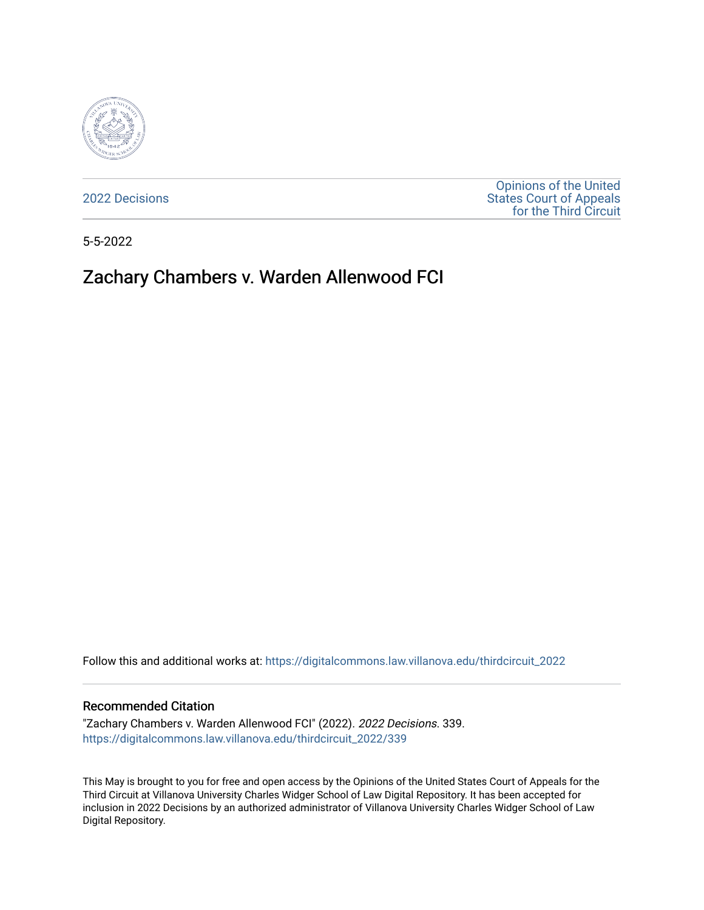

[2022 Decisions](https://digitalcommons.law.villanova.edu/thirdcircuit_2022)

[Opinions of the United](https://digitalcommons.law.villanova.edu/thirdcircuit)  [States Court of Appeals](https://digitalcommons.law.villanova.edu/thirdcircuit)  [for the Third Circuit](https://digitalcommons.law.villanova.edu/thirdcircuit) 

5-5-2022

# Zachary Chambers v. Warden Allenwood FCI

Follow this and additional works at: [https://digitalcommons.law.villanova.edu/thirdcircuit\\_2022](https://digitalcommons.law.villanova.edu/thirdcircuit_2022?utm_source=digitalcommons.law.villanova.edu%2Fthirdcircuit_2022%2F339&utm_medium=PDF&utm_campaign=PDFCoverPages) 

### Recommended Citation

"Zachary Chambers v. Warden Allenwood FCI" (2022). 2022 Decisions. 339. [https://digitalcommons.law.villanova.edu/thirdcircuit\\_2022/339](https://digitalcommons.law.villanova.edu/thirdcircuit_2022/339?utm_source=digitalcommons.law.villanova.edu%2Fthirdcircuit_2022%2F339&utm_medium=PDF&utm_campaign=PDFCoverPages)

This May is brought to you for free and open access by the Opinions of the United States Court of Appeals for the Third Circuit at Villanova University Charles Widger School of Law Digital Repository. It has been accepted for inclusion in 2022 Decisions by an authorized administrator of Villanova University Charles Widger School of Law Digital Repository.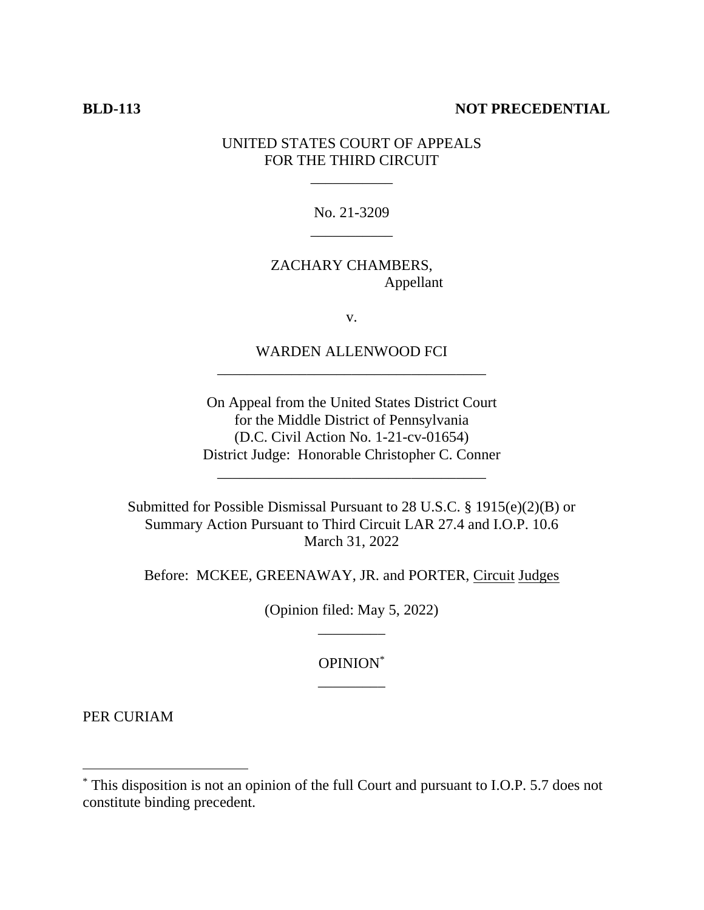### **BLD-113 NOT PRECEDENTIAL**

## UNITED STATES COURT OF APPEALS FOR THE THIRD CIRCUIT

\_\_\_\_\_\_\_\_\_\_\_

No. 21-3209 \_\_\_\_\_\_\_\_\_\_\_

### ZACHARY CHAMBERS, Appellant

v.

WARDEN ALLENWOOD FCI \_\_\_\_\_\_\_\_\_\_\_\_\_\_\_\_\_\_\_\_\_\_\_\_\_\_\_\_\_\_\_\_\_\_\_\_

On Appeal from the United States District Court for the Middle District of Pennsylvania (D.C. Civil Action No. 1-21-cv-01654) District Judge: Honorable Christopher C. Conner

\_\_\_\_\_\_\_\_\_\_\_\_\_\_\_\_\_\_\_\_\_\_\_\_\_\_\_\_\_\_\_\_\_\_\_\_

Submitted for Possible Dismissal Pursuant to 28 U.S.C. § 1915(e)(2)(B) or Summary Action Pursuant to Third Circuit LAR 27.4 and I.O.P. 10.6 March 31, 2022

Before: MCKEE, GREENAWAY, JR. and PORTER, Circuit Judges

(Opinion filed: May 5, 2022) \_\_\_\_\_\_\_\_\_

> OPINION\* \_\_\_\_\_\_\_\_\_

PER CURIAM

<sup>\*</sup> This disposition is not an opinion of the full Court and pursuant to I.O.P. 5.7 does not constitute binding precedent.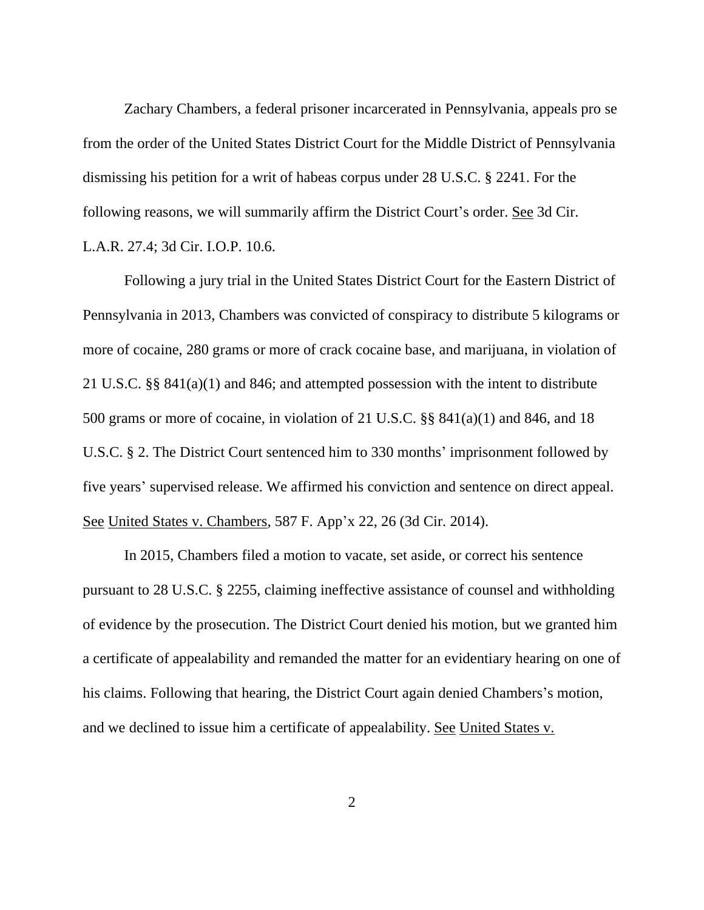Zachary Chambers, a federal prisoner incarcerated in Pennsylvania, appeals pro se from the order of the United States District Court for the Middle District of Pennsylvania dismissing his petition for a writ of habeas corpus under 28 U.S.C. § 2241. For the following reasons, we will summarily affirm the District Court's order. See 3d Cir. L.A.R. 27.4; 3d Cir. I.O.P. 10.6.

Following a jury trial in the United States District Court for the Eastern District of Pennsylvania in 2013, Chambers was convicted of conspiracy to distribute 5 kilograms or more of cocaine, 280 grams or more of crack cocaine base, and marijuana, in violation of 21 U.S.C. §§ 841(a)(1) and 846; and attempted possession with the intent to distribute 500 grams or more of cocaine, in violation of 21 U.S.C. §§ 841(a)(1) and 846, and 18 U.S.C. § 2. The District Court sentenced him to 330 months' imprisonment followed by five years' supervised release. We affirmed his conviction and sentence on direct appeal. See United States v. Chambers, 587 F. App'x 22, 26 (3d Cir. 2014).

In 2015, Chambers filed a motion to vacate, set aside, or correct his sentence pursuant to 28 U.S.C. § 2255, claiming ineffective assistance of counsel and withholding of evidence by the prosecution. The District Court denied his motion, but we granted him a certificate of appealability and remanded the matter for an evidentiary hearing on one of his claims. Following that hearing, the District Court again denied Chambers's motion, and we declined to issue him a certificate of appealability. See United States v.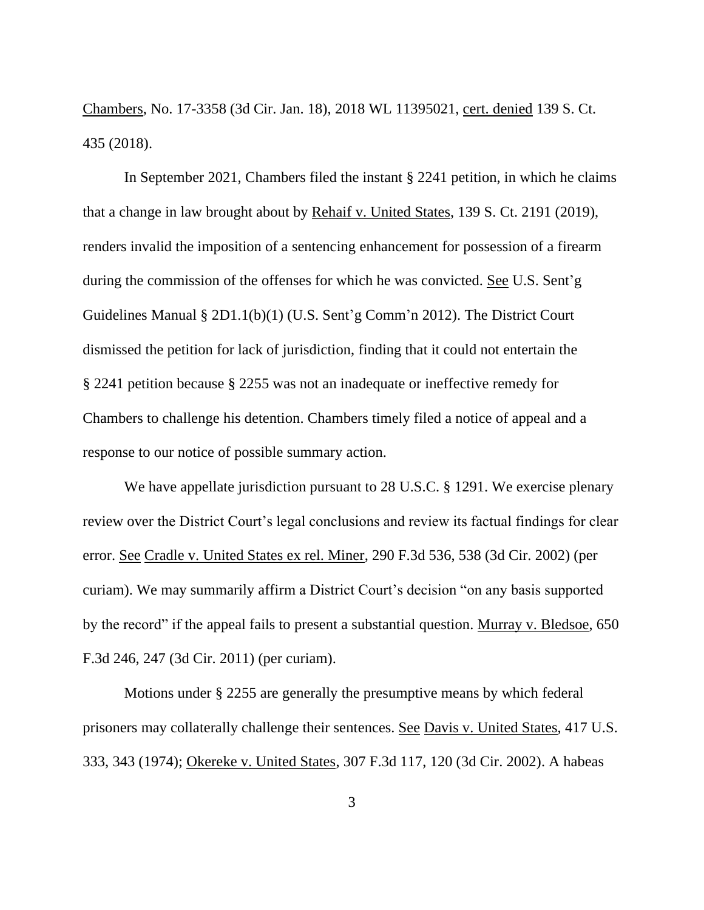Chambers, No. 17-3358 (3d Cir. Jan. 18), 2018 WL 11395021, cert. denied 139 S. Ct. 435 (2018).

In September 2021, Chambers filed the instant § 2241 petition, in which he claims that a change in law brought about by Rehaif v. United States, 139 S. Ct. 2191 (2019), renders invalid the imposition of a sentencing enhancement for possession of a firearm during the commission of the offenses for which he was convicted. See U.S. Sent'g Guidelines Manual § 2D1.1(b)(1) (U.S. Sent'g Comm'n 2012). The District Court dismissed the petition for lack of jurisdiction, finding that it could not entertain the § 2241 petition because § 2255 was not an inadequate or ineffective remedy for Chambers to challenge his detention. Chambers timely filed a notice of appeal and a response to our notice of possible summary action.

We have appellate jurisdiction pursuant to 28 U.S.C. § 1291. We exercise plenary review over the District Court's legal conclusions and review its factual findings for clear error. See Cradle v. United States ex rel. Miner, 290 F.3d 536, 538 (3d Cir. 2002) (per curiam). We may summarily affirm a District Court's decision "on any basis supported by the record" if the appeal fails to present a substantial question. Murray v. Bledsoe, 650 F.3d 246, 247 (3d Cir. 2011) (per curiam).

Motions under § 2255 are generally the presumptive means by which federal prisoners may collaterally challenge their sentences. See Davis v. United States, 417 U.S. 333, 343 (1974); Okereke v. United States, 307 F.3d 117, 120 (3d Cir. 2002). A habeas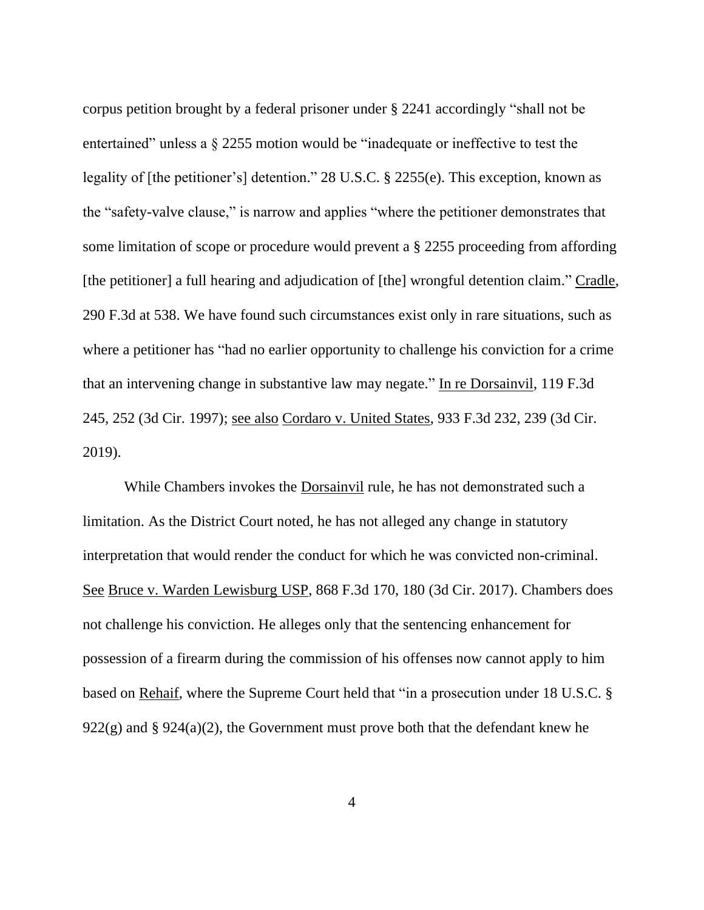corpus petition brought by a federal prisoner under § 2241 accordingly "shall not be entertained" unless a § 2255 motion would be "inadequate or ineffective to test the legality of [the petitioner's] detention." 28 U.S.C. § 2255(e). This exception, known as the "safety-valve clause," is narrow and applies "where the petitioner demonstrates that some limitation of scope or procedure would prevent a § 2255 proceeding from affording [the petitioner] a full hearing and adjudication of [the] wrongful detention claim." Cradle, 290 F.3d at 538. We have found such circumstances exist only in rare situations, such as where a petitioner has "had no earlier opportunity to challenge his conviction for a crime that an intervening change in substantive law may negate." In re Dorsainvil, 119 F.3d 245, 252 (3d Cir. 1997); see also Cordaro v. United States, 933 F.3d 232, 239 (3d Cir. 2019).

While Chambers invokes the Dorsainvil rule, he has not demonstrated such a limitation. As the District Court noted, he has not alleged any change in statutory interpretation that would render the conduct for which he was convicted non-criminal. See Bruce v. Warden Lewisburg USP, 868 F.3d 170, 180 (3d Cir. 2017). Chambers does not challenge his conviction. He alleges only that the sentencing enhancement for possession of a firearm during the commission of his offenses now cannot apply to him based on Rehaif, where the Supreme Court held that "in a prosecution under 18 U.S.C. §  $922(g)$  and §  $924(a)(2)$ , the Government must prove both that the defendant knew he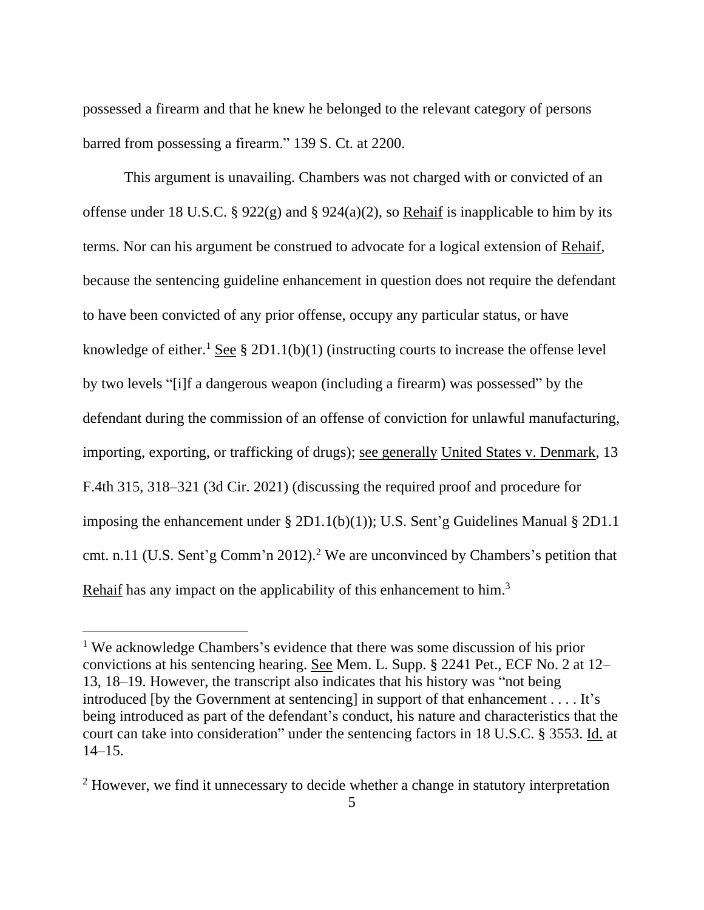possessed a firearm and that he knew he belonged to the relevant category of persons barred from possessing a firearm." 139 S. Ct. at 2200.

This argument is unavailing. Chambers was not charged with or convicted of an offense under 18 U.S.C. § 922(g) and § 924(a)(2), so Rehaif is inapplicable to him by its terms. Nor can his argument be construed to advocate for a logical extension of Rehaif, because the sentencing guideline enhancement in question does not require the defendant to have been convicted of any prior offense, occupy any particular status, or have knowledge of either.<sup>1</sup> See § 2D1.1(b)(1) (instructing courts to increase the offense level by two levels "[i]f a dangerous weapon (including a firearm) was possessed" by the defendant during the commission of an offense of conviction for unlawful manufacturing, importing, exporting, or trafficking of drugs); see generally United States v. Denmark, 13 F.4th 315, 318–321 (3d Cir. 2021) (discussing the required proof and procedure for imposing the enhancement under § 2D1.1(b)(1)); U.S. Sent'g Guidelines Manual § 2D1.1 cmt. n.11 (U.S. Sent'g Comm'n 2012).<sup>2</sup> We are unconvinced by Chambers's petition that Rehaif has any impact on the applicability of this enhancement to him.<sup>3</sup>

<sup>&</sup>lt;sup>1</sup> We acknowledge Chambers's evidence that there was some discussion of his prior convictions at his sentencing hearing. See Mem. L. Supp. § 2241 Pet., ECF No. 2 at 12– 13, 18–19. However, the transcript also indicates that his history was "not being introduced [by the Government at sentencing] in support of that enhancement . . . . It's being introduced as part of the defendant's conduct, his nature and characteristics that the court can take into consideration" under the sentencing factors in 18 U.S.C. § 3553. Id. at 14–15.

<sup>&</sup>lt;sup>2</sup> However, we find it unnecessary to decide whether a change in statutory interpretation